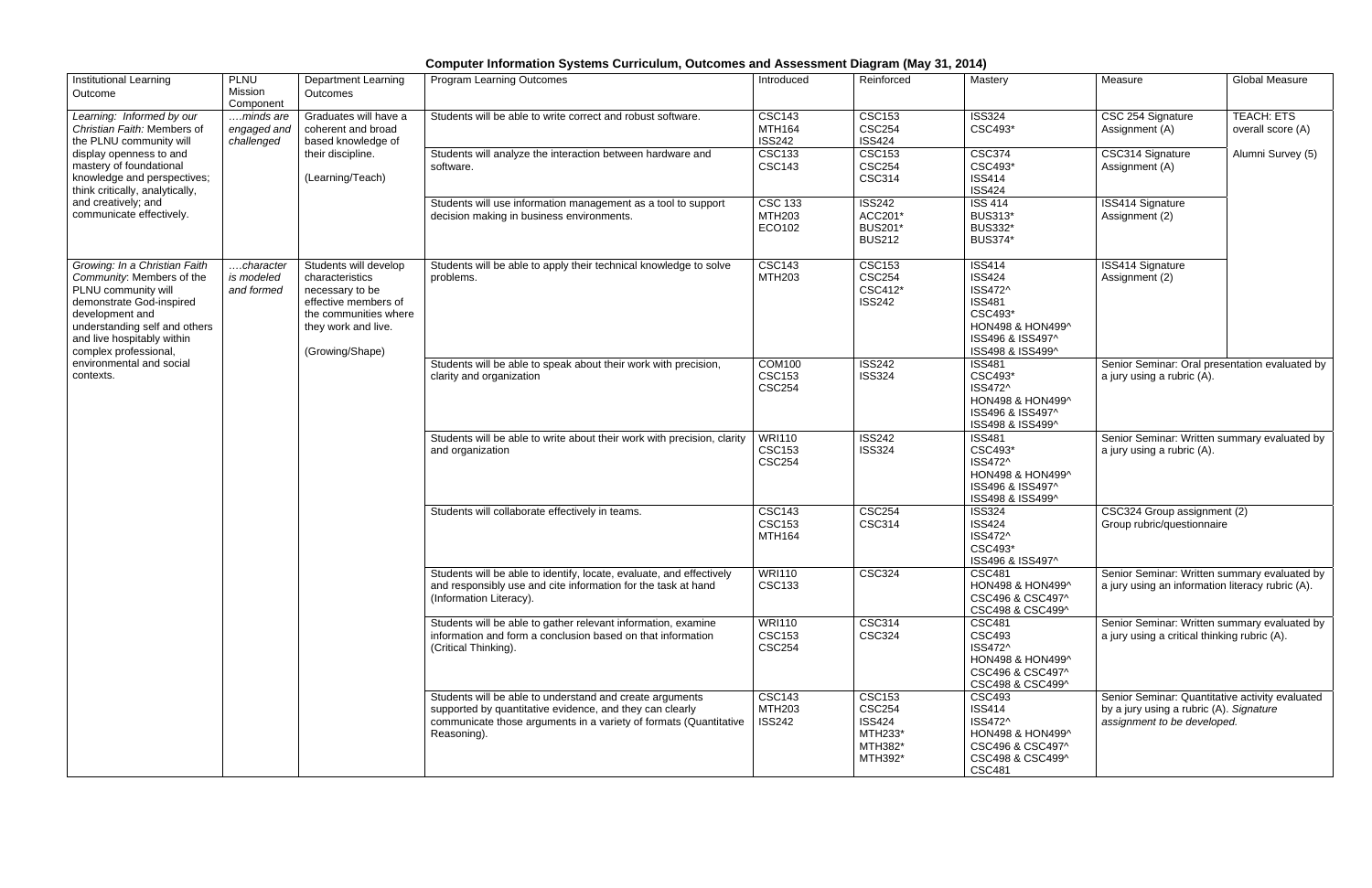## **Computer Information Systems Curriculum, Outcomes and Assessment Diagram (May 31, 2014)**

| <b>Institutional Learning</b><br>Outcome                                                                                                                                                                                                                          | <b>PLNU</b><br>Mission<br>Component    | <b>Department Learning</b><br>Outcomes                                                                                                                 | <b>Program Learning Outcomes</b>                                                                                                                                                                         | Introduced                                      | Reinforced                                                                       | Mastery                                                                                                                           | Measure                                                                                                                   | <b>Global Measure</b>                  |
|-------------------------------------------------------------------------------------------------------------------------------------------------------------------------------------------------------------------------------------------------------------------|----------------------------------------|--------------------------------------------------------------------------------------------------------------------------------------------------------|----------------------------------------------------------------------------------------------------------------------------------------------------------------------------------------------------------|-------------------------------------------------|----------------------------------------------------------------------------------|-----------------------------------------------------------------------------------------------------------------------------------|---------------------------------------------------------------------------------------------------------------------------|----------------------------------------|
| Learning: Informed by our<br>Christian Faith: Members of<br>the PLNU community will<br>display openness to and<br>mastery of foundational<br>knowledge and perspectives;<br>think critically, analytically,<br>and creatively; and<br>communicate effectively.    | minds are<br>engaged and<br>challenged | Graduates will have a<br>coherent and broad<br>based knowledge of<br>their discipline.<br>(Learning/Teach)                                             | Students will be able to write correct and robust software.                                                                                                                                              | <b>CSC143</b><br><b>MTH164</b><br><b>ISS242</b> | <b>CSC153</b><br><b>CSC254</b><br><b>ISS424</b>                                  | <b>ISS324</b><br>CSC493*                                                                                                          | CSC 254 Signature<br>Assignment (A)                                                                                       | <b>TEACH: ETS</b><br>overall score (A) |
|                                                                                                                                                                                                                                                                   |                                        |                                                                                                                                                        | Students will analyze the interaction between hardware and<br>software.                                                                                                                                  | <b>CSC133</b><br><b>CSC143</b>                  | <b>CSC153</b><br><b>CSC254</b><br><b>CSC314</b>                                  | <b>CSC374</b><br>CSC493*<br><b>ISS414</b><br><b>ISS424</b>                                                                        | CSC314 Signature<br>Assignment (A)                                                                                        | Alumni Survey (5)                      |
|                                                                                                                                                                                                                                                                   |                                        |                                                                                                                                                        | Students will use information management as a tool to support<br>decision making in business environments.                                                                                               | <b>CSC 133</b><br><b>MTH203</b><br>ECO102       | <b>ISS242</b><br>ACC201*<br><b>BUS201*</b><br><b>BUS212</b>                      | <b>ISS 414</b><br><b>BUS313*</b><br><b>BUS332*</b><br><b>BUS374*</b>                                                              | <b>ISS414 Signature</b><br>Assignment (2)                                                                                 |                                        |
| Growing: In a Christian Faith<br>Community: Members of the<br>PLNU community will<br>demonstrate God-inspired<br>development and<br>understanding self and others<br>and live hospitably within<br>complex professional,<br>environmental and social<br>contexts. | character<br>is modeled<br>and formed  | Students will develop<br>characteristics<br>necessary to be<br>effective members of<br>the communities where<br>they work and live.<br>(Growing/Shape) | Students will be able to apply their technical knowledge to solve<br>problems.                                                                                                                           | <b>CSC143</b><br><b>MTH203</b>                  | <b>CSC153</b><br><b>CSC254</b><br>CSC412*<br><b>ISS242</b>                       | <b>ISS414</b><br><b>ISS424</b><br>ISS472^<br><b>ISS481</b><br>CSC493*<br>HON498 & HON499^<br>ISS496 & ISS497^<br>ISS498 & ISS499^ | <b>ISS414 Signature</b><br>Assignment (2)                                                                                 |                                        |
|                                                                                                                                                                                                                                                                   |                                        |                                                                                                                                                        | Students will be able to speak about their work with precision,<br>clarity and organization                                                                                                              | <b>COM100</b><br><b>CSC153</b><br><b>CSC254</b> | <b>ISS242</b><br><b>ISS324</b>                                                   | <b>ISS481</b><br>CSC493*<br>ISS472^<br>HON498 & HON499^<br>ISS496 & ISS497^<br>ISS498 & ISS499^                                   | Senior Seminar: Oral presentation evaluated by<br>a jury using a rubric (A).                                              |                                        |
|                                                                                                                                                                                                                                                                   |                                        |                                                                                                                                                        | Students will be able to write about their work with precision, clarity<br>and organization                                                                                                              | <b>WRI110</b><br><b>CSC153</b><br><b>CSC254</b> | <b>ISS242</b><br><b>ISS324</b>                                                   | <b>ISS481</b><br>CSC493*<br>ISS472^<br>HON498 & HON499^<br>ISS496 & ISS497^<br>ISS498 & ISS499^                                   | Senior Seminar: Written summary evaluated by<br>a jury using a rubric (A).                                                |                                        |
|                                                                                                                                                                                                                                                                   |                                        |                                                                                                                                                        | Students will collaborate effectively in teams.                                                                                                                                                          | <b>CSC143</b><br><b>CSC153</b><br>MTH164        | <b>CSC254</b><br><b>CSC314</b>                                                   | <b>ISS324</b><br><b>ISS424</b><br>ISS472^<br>CSC493*<br>ISS496 & ISS497^                                                          | CSC324 Group assignment (2)<br>Group rubric/questionnaire                                                                 |                                        |
|                                                                                                                                                                                                                                                                   |                                        |                                                                                                                                                        | Students will be able to identify, locate, evaluate, and effectively<br>and responsibly use and cite information for the task at hand<br>(Information Literacy).                                         | <b>WRI110</b><br><b>CSC133</b>                  | <b>CSC324</b>                                                                    | <b>CSC481</b><br>HON498 & HON499^<br>CSC496 & CSC497^<br>CSC498 & CSC499^                                                         | Senior Seminar: Written summary evaluated by<br>a jury using an information literacy rubric (A).                          |                                        |
|                                                                                                                                                                                                                                                                   |                                        |                                                                                                                                                        | Students will be able to gather relevant information, examine<br>information and form a conclusion based on that information<br>(Critical Thinking).                                                     | <b>WRI110</b><br><b>CSC153</b><br><b>CSC254</b> | <b>CSC314</b><br><b>CSC324</b>                                                   | <b>CSC481</b><br><b>CSC493</b><br>ISS472^<br>HON498 & HON499^<br>CSC496 & CSC497^<br>CSC498 & CSC499^                             | Senior Seminar: Written summary evaluated by<br>a jury using a critical thinking rubric (A).                              |                                        |
|                                                                                                                                                                                                                                                                   |                                        |                                                                                                                                                        | Students will be able to understand and create arguments<br>supported by quantitative evidence, and they can clearly<br>communicate those arguments in a variety of formats (Quantitative<br>Reasoning). | <b>CSC143</b><br><b>MTH203</b><br><b>ISS242</b> | <b>CSC153</b><br><b>CSC254</b><br><b>ISS424</b><br>MTH233*<br>MTH382*<br>MTH392* | <b>CSC493</b><br><b>ISS414</b><br>ISS472^<br>HON498 & HON499^<br>CSC496 & CSC497^<br>CSC498 & CSC499^<br><b>CSC481</b>            | Senior Seminar: Quantitative activity evaluated<br>by a jury using a rubric (A). Signature<br>assignment to be developed. |                                        |